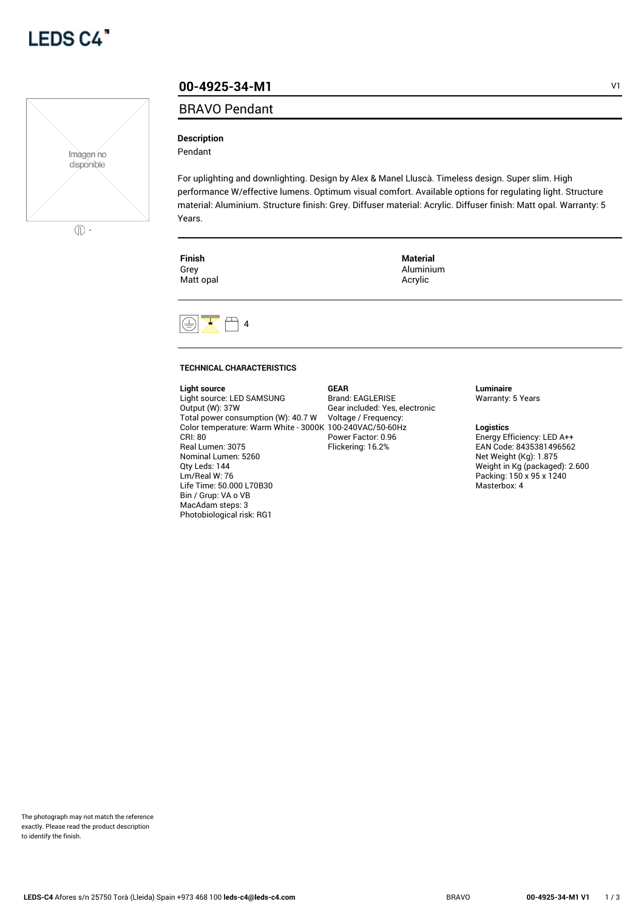



# **00-4925-34-M1** V1

# BRAVO Pendant

## **Description**

Pendant

For uplighting and downlighting. Design by Alex & Manel Lluscà. Timeless design. Super slim. High performance W/effective lumens. Optimum visual comfort. Available options for regulating light. Structure material: Aluminium. Structure finish: Grey. Diffuser material: Acrylic. Diffuser finish: Matt opal. Warranty: 5 Years.

> **Material** Aluminium Acrylic

| L | ш       |  |
|---|---------|--|
|   | ۰.<br>× |  |
|   |         |  |

Grey Matt opal



### **TECHNICAL CHARACTERISTICS**

#### **Light source**

Light source: LED SAMSUNG Output (W): 37W Total power consumption (W): 40.7 W Color temperature: Warm White - 3000K 100-240VAC/50-60Hz CRI: 80 Real Lumen: 3075 Nominal Lumen: 5260 Qty Leds: 144 Lm/Real W: 76 Life Time: 50.000 L70B30 Bin / Grup: VA o VB MacAdam steps: 3 Photobiological risk: RG1

**GEAR** Brand: EAGLERISE Gear included: Yes, electronic Voltage / Frequency: Power Factor: 0.96 Flickering: 16.2%

#### **Luminaire** Warranty: 5 Years

**Logistics**

Energy Efficiency: LED A++ EAN Code: 8435381496562 Net Weight (Kg): 1.875 Weight in Kg (packaged): 2.600 Packing: 150 x 95 x 1240 Masterbox: 4

The photograph may not match the reference exactly. Please read the product description to identify the finish.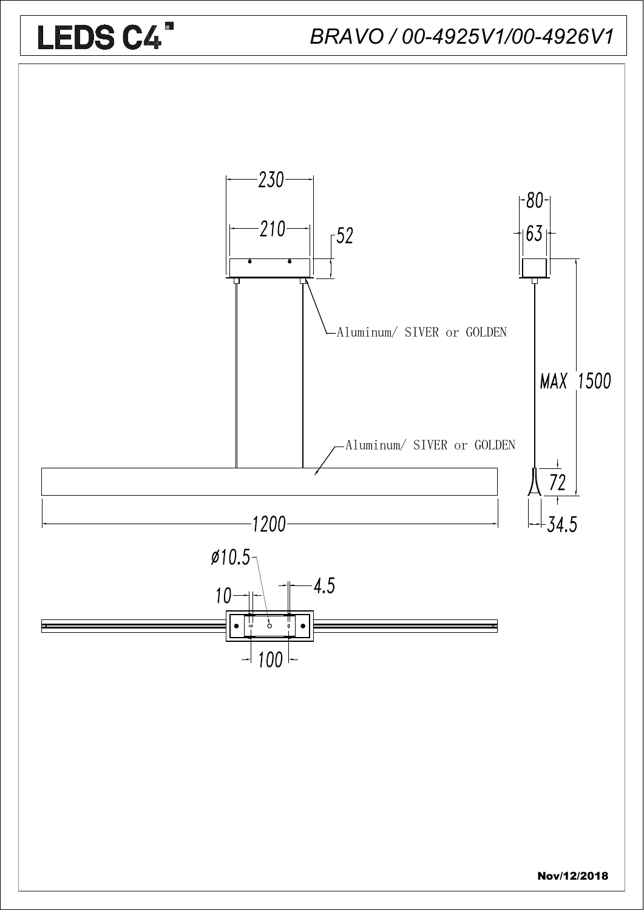